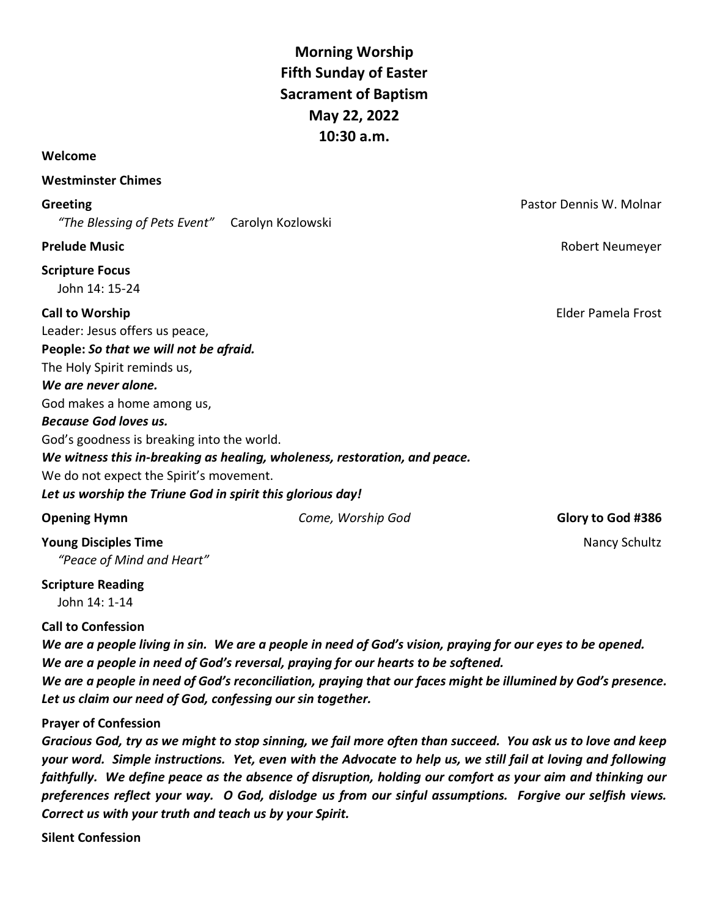**Morning Worship Fifth Sunday of Easter Sacrament of Baptism May 22, 2022 10:30 a.m.**

#### **Welcome**

#### **Westminster Chimes**

*"The Blessing of Pets Event"* Carolyn Kozlowski

# **Scripture Focus**

John 14: 15-24

Leader: Jesus offers us peace, **People:** *So that we will not be afraid.* The Holy Spirit reminds us, *We are never alone.* God makes a home among us, *Because God loves us.* God's goodness is breaking into the world. *We witness this in-breaking as healing, wholeness, restoration, and peace.* We do not expect the Spirit's movement.

*Let us worship the Triune God in spirit this glorious day!*

### **Opening Hymn Come, Worship God Glory to God #386 Glory to God #386**

**Young Disciples Time** Nancy Schultz and Time and Time and Time and Time and Time and Time and Time and Time and Time and Time and Time and Time and Time and Time and Time and Time and Time and Time and Time and Time and T *"Peace of Mind and Heart"*

**Scripture Reading**

John 14: 1-14

### **Call to Confession**

*We are a people living in sin. We are a people in need of God's vision, praying for our eyes to be opened. We are a people in need of God's reversal, praying for our hearts to be softened. We are a people in need of God's reconciliation, praying that our faces might be illumined by God's presence. Let us claim our need of God, confessing our sin together.*

### **Prayer of Confession**

*Gracious God, try as we might to stop sinning, we fail more often than succeed. You ask us to love and keep your word. Simple instructions. Yet, even with the Advocate to help us, we still fail at loving and following faithfully. We define peace as the absence of disruption, holding our comfort as your aim and thinking our preferences reflect your way. O God, dislodge us from our sinful assumptions. Forgive our selfish views. Correct us with your truth and teach us by your Spirit.*

**Silent Confession**

**Greeting Constanting Constanting Constanting Constanting Constanting Constanting Constanting Constanting Constanting Constanting Constanting Constanting Constanting Constanting Constanting Constanting Constanting Consta** 

**Prelude Music** Robert Neumeyer

**Call to Worship** Elder Pamela Frost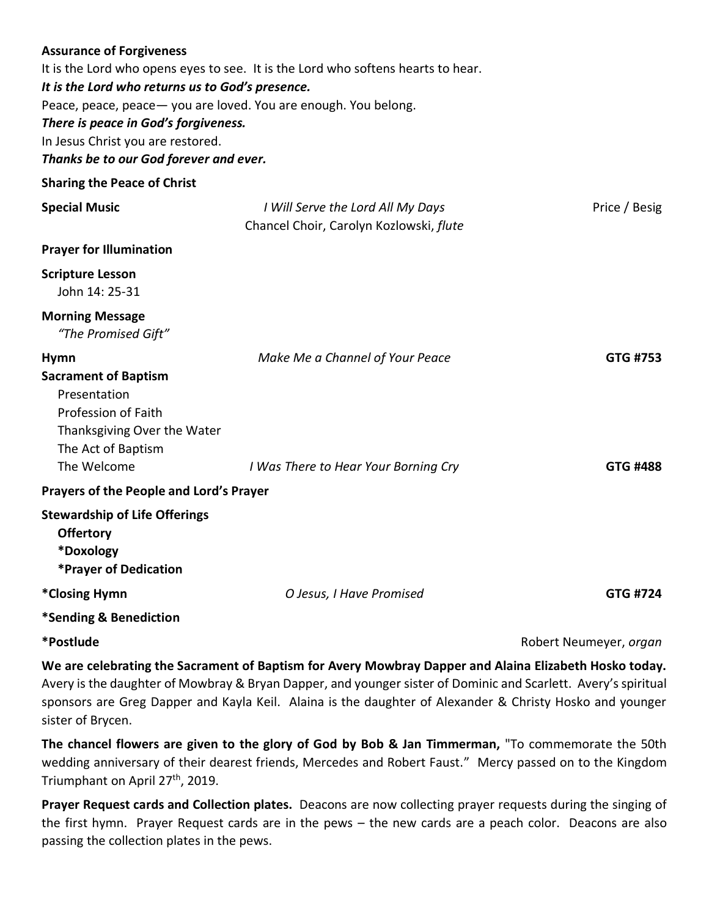| <b>Assurance of Forgiveness</b><br>It is the Lord who returns us to God's presence.<br>Peace, peace, peace - you are loved. You are enough. You belong.<br>There is peace in God's forgiveness.<br>In Jesus Christ you are restored.<br>Thanks be to our God forever and ever. | It is the Lord who opens eyes to see. It is the Lord who softens hearts to hear. |                        |
|--------------------------------------------------------------------------------------------------------------------------------------------------------------------------------------------------------------------------------------------------------------------------------|----------------------------------------------------------------------------------|------------------------|
| <b>Sharing the Peace of Christ</b>                                                                                                                                                                                                                                             |                                                                                  |                        |
| <b>Special Music</b>                                                                                                                                                                                                                                                           | I Will Serve the Lord All My Days<br>Chancel Choir, Carolyn Kozlowski, flute     | Price / Besig          |
| <b>Prayer for Illumination</b>                                                                                                                                                                                                                                                 |                                                                                  |                        |
| <b>Scripture Lesson</b><br>John 14: 25-31                                                                                                                                                                                                                                      |                                                                                  |                        |
| <b>Morning Message</b><br>"The Promised Gift"                                                                                                                                                                                                                                  |                                                                                  |                        |
| <b>Hymn</b><br><b>Sacrament of Baptism</b><br>Presentation<br>Profession of Faith<br>Thanksgiving Over the Water<br>The Act of Baptism<br>The Welcome                                                                                                                          | Make Me a Channel of Your Peace                                                  | GTG #753               |
|                                                                                                                                                                                                                                                                                | I Was There to Hear Your Borning Cry                                             | GTG #488               |
| Prayers of the People and Lord's Prayer<br><b>Stewardship of Life Offerings</b><br><b>Offertory</b><br>*Doxology<br>*Prayer of Dedication                                                                                                                                      |                                                                                  |                        |
| *Closing Hymn                                                                                                                                                                                                                                                                  | O Jesus, I Have Promised                                                         | <b>GTG #724</b>        |
| *Sending & Benediction                                                                                                                                                                                                                                                         |                                                                                  |                        |
| *Postlude                                                                                                                                                                                                                                                                      |                                                                                  | Robert Neumeyer, organ |

**We are celebrating the Sacrament of Baptism for Avery Mowbray Dapper and Alaina Elizabeth Hosko today.**  Avery is the daughter of Mowbray & Bryan Dapper, and younger sister of Dominic and Scarlett. Avery's spiritual sponsors are Greg Dapper and Kayla Keil. Alaina is the daughter of Alexander & Christy Hosko and younger sister of Brycen.

**The chancel flowers are given to the glory of God by Bob & Jan Timmerman,** "To commemorate the 50th wedding anniversary of their dearest friends, Mercedes and Robert Faust." Mercy passed on to the Kingdom Triumphant on April 27<sup>th</sup>, 2019.

**Prayer Request cards and Collection plates.** Deacons are now collecting prayer requests during the singing of the first hymn. Prayer Request cards are in the pews – the new cards are a peach color. Deacons are also passing the collection plates in the pews.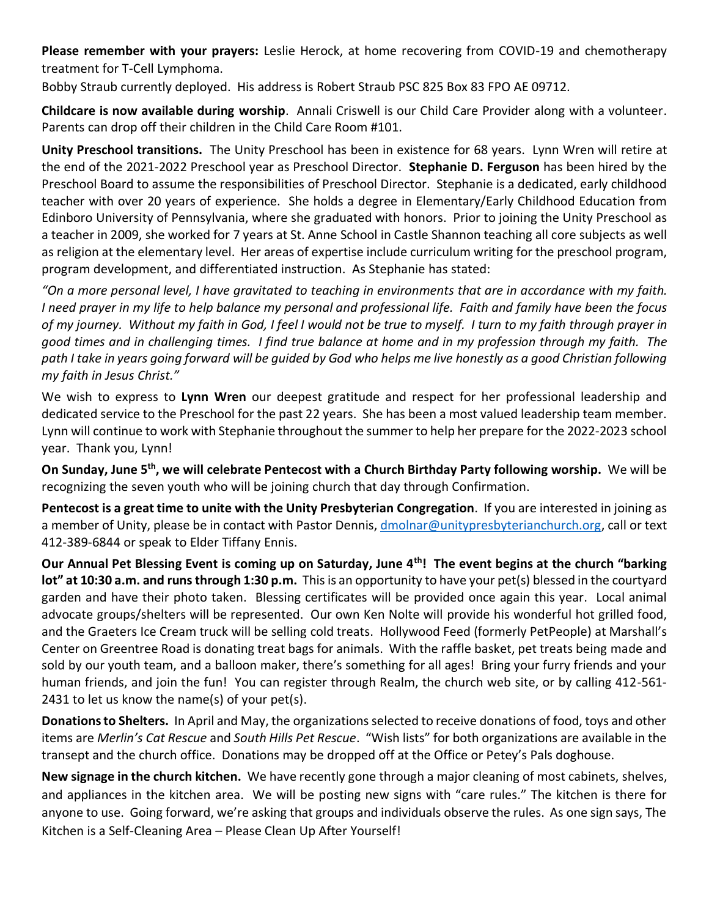**Please remember with your prayers:** Leslie Herock, at home recovering from COVID-19 and chemotherapy treatment for T-Cell Lymphoma.

Bobby Straub currently deployed. His address is Robert Straub PSC 825 Box 83 FPO AE 09712.

**Childcare is now available during worship**. Annali Criswell is our Child Care Provider along with a volunteer. Parents can drop off their children in the Child Care Room #101.

**Unity Preschool transitions.** The Unity Preschool has been in existence for 68 years. Lynn Wren will retire at the end of the 2021-2022 Preschool year as Preschool Director. **Stephanie D. Ferguson** has been hired by the Preschool Board to assume the responsibilities of Preschool Director. Stephanie is a dedicated, early childhood teacher with over 20 years of experience. She holds a degree in Elementary/Early Childhood Education from Edinboro University of Pennsylvania, where she graduated with honors. Prior to joining the Unity Preschool as a teacher in 2009, she worked for 7 years at St. Anne School in Castle Shannon teaching all core subjects as well as religion at the elementary level. Her areas of expertise include curriculum writing for the preschool program, program development, and differentiated instruction. As Stephanie has stated:

"On a more personal level, I have gravitated to teaching in environments that are in accordance with my faith. I need prayer in my life to help balance my personal and professional life. Faith and family have been the focus of my journey. Without my faith in God, I feel I would not be true to myself. I turn to my faith through prayer in good times and in challenging times. I find true balance at home and in my profession through my faith. The path I take in years going forward will be quided by God who helps me live honestly as a good Christian following *my faith in Jesus Christ."*

We wish to express to **Lynn Wren** our deepest gratitude and respect for her professional leadership and dedicated service to the Preschool for the past 22 years. She has been a most valued leadership team member. Lynn will continue to work with Stephanie throughout the summer to help her prepare for the 2022-2023 school year. Thank you, Lynn!

On Sunday, June 5<sup>th</sup>, we will celebrate Pentecost with a Church Birthday Party following worship. We will be recognizing the seven youth who will be joining church that day through Confirmation.

**Pentecost is a great time to unite with the Unity Presbyterian Congregation**. If you are interested in joining as a member of Unity, please be in contact with Pastor Dennis, [dmolnar@unitypresbyterianchurch.org,](mailto:dmolnar@unitypresbyterianchurch.org) call or text 412-389-6844 or speak to Elder Tiffany Ennis.

**Our Annual Pet Blessing Event is coming up on Saturday, June 4th! The event begins at the church "barking lot" at 10:30 a.m. and runs through 1:30 p.m.** This is an opportunity to have your pet(s) blessed in the courtyard garden and have their photo taken.Blessing certificates will be provided once again this year.Local animal advocate groups/shelters will be represented. Our own Ken Nolte will provide his wonderful hot grilled food, and the Graeters Ice Cream truck will be selling cold treats. Hollywood Feed (formerly PetPeople) at Marshall's Center on Greentree Road is donating treat bags for animals. With the raffle basket, pet treats being made and sold by our youth team, and a balloon maker, there's something for all ages! Bring your furry friends and your human friends, and join the fun! You can register through Realm, the church web site, or by calling 412-561- 2431 to let us know the name(s) of your pet(s).

**Donations to Shelters.** In April and May, the organizations selected to receive donations of food, toys and other items are *Merlin's Cat Rescue* and *South Hills Pet Rescue*. "Wish lists" for both organizations are available in the transept and the church office. Donations may be dropped off at the Office or Petey's Pals doghouse.

**New signage in the church kitchen.** We have recently gone through a major cleaning of most cabinets, shelves, and appliances in the kitchen area. We will be posting new signs with "care rules." The kitchen is there for anyone to use. Going forward, we're asking that groups and individuals observe the rules. As one sign says, The Kitchen is a Self-Cleaning Area – Please Clean Up After Yourself!